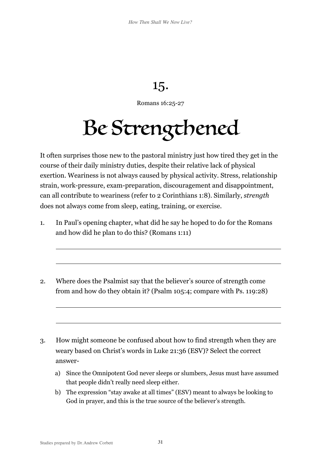## 15.

Romans 16:25-27

## Be Strengthened

It often surprises those new to the pastoral ministry just how tired they get in the course of their daily ministry duties, despite their relative lack of physical exertion. Weariness is not always caused by physical activity. Stress, relationship strain, work-pressure, exam-preparation, discouragement and disappointment, can all contribute to weariness (refer to 2 Corinthians 1:8). Similarly, *strength* does not always come from sleep, eating, training, or exercise.

- 1. In Paul's opening chapter, what did he say he hoped to do for the Romans and how did he plan to do this? (Romans 1:11)
- 2. Where does the Psalmist say that the believer's source of strength come from and how do they obtain it? (Psalm 105:4; compare with Ps. 119:28)
- 3. How might someone be confused about how to find strength when they are weary based on Christ's words in Luke 21:36 (ESV)? Select the correct answer
	- a) Since the Omnipotent God never sleeps or slumbers, Jesus must have assumed that people didn't really need sleep either.
	- b) The expression "stay awake at all times" (ESV) meant to always be looking to God in prayer, and this is the true source of the believer's strength.

 $\overline{a}$ 

 $\overline{a}$